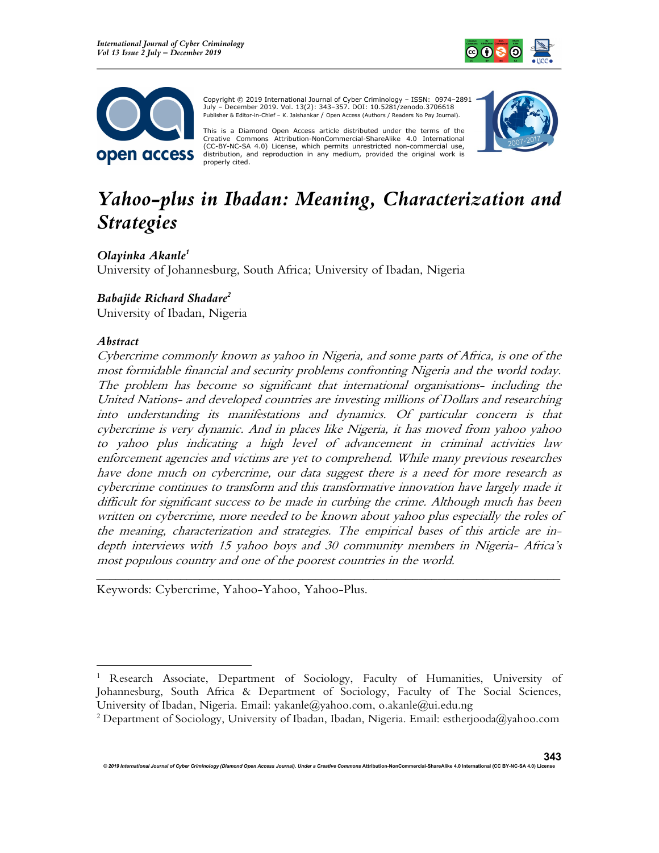



 Copyright © 2019 International Journal of Cyber Criminology – ISSN: 0974–2891 July – December 2019. Vol. 13(2): 343–357. DOI: 10.5281/zenodo.3706618 Publisher & Editor-in-Chief – K. Jaishankar / Open Access (Authors / Readers No Pay Journal).

This is a Diamond Open Access article distributed under the terms of the Creative Commons Attribution-NonCommercial-ShareAlike 4.0 International (CC-BY-NC-SA 4.0) License, which permits unrestricted non-commercial use, distribution, and reproduction in any medium, provided the original work is properly cited.



# Yahoo-plus in Ibadan: Meaning, Characterization and Strategies

Olayinka Akanle<sup>1</sup> University of Johannesburg, South Africa; University of Ibadan, Nigeria

## Babajide Richard Shadare<sup>2</sup>

University of Ibadan, Nigeria

## Abstract

Cybercrime commonly known as yahoo in Nigeria, and some parts of Africa, is one of the most formidable financial and security problems confronting Nigeria and the world today. The problem has become so significant that international organisations- including the United Nations- and developed countries are investing millions of Dollars and researching into understanding its manifestations and dynamics. Of particular concern is that cybercrime is very dynamic. And in places like Nigeria, it has moved from yahoo yahoo to yahoo plus indicating a high level of advancement in criminal activities law enforcement agencies and victims are yet to comprehend. While many previous researches have done much on cybercrime, our data suggest there is a need for more research as cybercrime continues to transform and this transformative innovation have largely made it difficult for significant success to be made in curbing the crime. Although much has been written on cybercrime, more needed to be known about yahoo plus especially the roles of the meaning, characterization and strategies. The empirical bases of this article are indepth interviews with 15 yahoo boys and 30 community members in Nigeria- Africa's most populous country and one of the poorest countries in the world.

Keywords: Cybercrime, Yahoo-Yahoo, Yahoo-Plus.

\_\_\_\_\_\_\_\_\_\_\_\_\_\_\_\_\_\_\_\_\_\_\_\_\_\_\_\_\_\_\_\_\_\_\_\_\_\_\_\_\_\_\_\_\_\_\_\_\_\_\_\_\_\_\_\_\_\_\_\_\_\_\_\_\_\_\_\_\_\_\_\_

<sup>&</sup>lt;sup>1</sup> Research Associate, Department of Sociology, Faculty of Humanities, University of Johannesburg, South Africa & Department of Sociology, Faculty of The Social Sciences, University of Ibadan, Nigeria. Email: yakanle@yahoo.com, o.akanle@ui.edu.ng

<sup>2</sup> Department of Sociology, University of Ibadan, Ibadan, Nigeria. Email: estherjooda@yahoo.com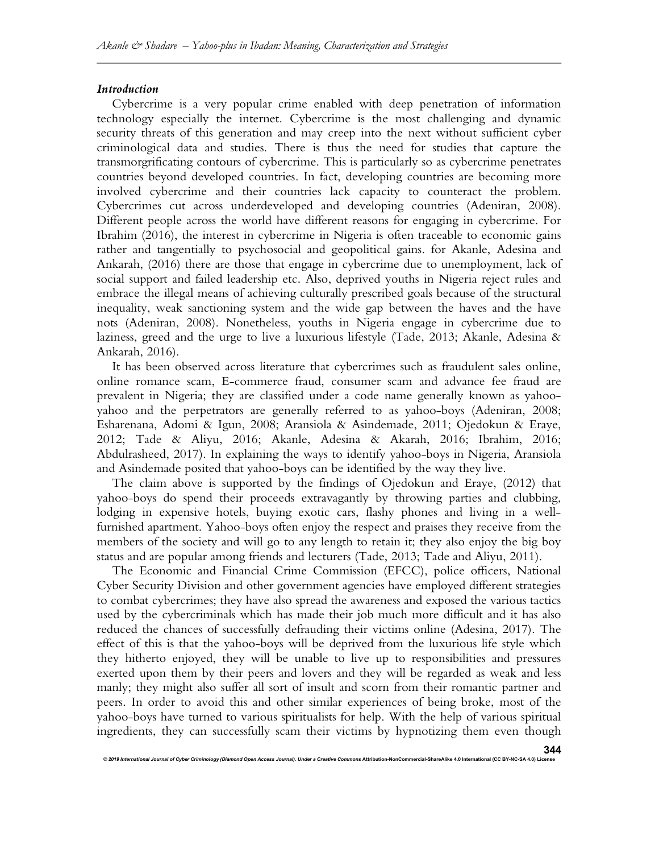#### Introduction

Cybercrime is a very popular crime enabled with deep penetration of information technology especially the internet. Cybercrime is the most challenging and dynamic security threats of this generation and may creep into the next without sufficient cyber criminological data and studies. There is thus the need for studies that capture the transmorgrificating contours of cybercrime. This is particularly so as cybercrime penetrates countries beyond developed countries. In fact, developing countries are becoming more involved cybercrime and their countries lack capacity to counteract the problem. Cybercrimes cut across underdeveloped and developing countries (Adeniran, 2008). Different people across the world have different reasons for engaging in cybercrime. For Ibrahim (2016), the interest in cybercrime in Nigeria is often traceable to economic gains rather and tangentially to psychosocial and geopolitical gains. for Akanle, Adesina and Ankarah, (2016) there are those that engage in cybercrime due to unemployment, lack of social support and failed leadership etc. Also, deprived youths in Nigeria reject rules and embrace the illegal means of achieving culturally prescribed goals because of the structural inequality, weak sanctioning system and the wide gap between the haves and the have nots (Adeniran, 2008). Nonetheless, youths in Nigeria engage in cybercrime due to laziness, greed and the urge to live a luxurious lifestyle (Tade, 2013; Akanle, Adesina & Ankarah, 2016).

It has been observed across literature that cybercrimes such as fraudulent sales online, online romance scam, E-commerce fraud, consumer scam and advance fee fraud are prevalent in Nigeria; they are classified under a code name generally known as yahooyahoo and the perpetrators are generally referred to as yahoo-boys (Adeniran, 2008; Esharenana, Adomi & Igun, 2008; Aransiola & Asindemade, 2011; Ojedokun & Eraye, 2012; Tade & Aliyu, 2016; Akanle, Adesina & Akarah, 2016; Ibrahim, 2016; Abdulrasheed, 2017). In explaining the ways to identify yahoo-boys in Nigeria, Aransiola and Asindemade posited that yahoo-boys can be identified by the way they live.

The claim above is supported by the findings of Ojedokun and Eraye, (2012) that yahoo-boys do spend their proceeds extravagantly by throwing parties and clubbing, lodging in expensive hotels, buying exotic cars, flashy phones and living in a wellfurnished apartment. Yahoo-boys often enjoy the respect and praises they receive from the members of the society and will go to any length to retain it; they also enjoy the big boy status and are popular among friends and lecturers (Tade, 2013; Tade and Aliyu, 2011).

The Economic and Financial Crime Commission (EFCC), police officers, National Cyber Security Division and other government agencies have employed different strategies to combat cybercrimes; they have also spread the awareness and exposed the various tactics used by the cybercriminals which has made their job much more difficult and it has also reduced the chances of successfully defrauding their victims online (Adesina, 2017). The effect of this is that the yahoo-boys will be deprived from the luxurious life style which they hitherto enjoyed, they will be unable to live up to responsibilities and pressures exerted upon them by their peers and lovers and they will be regarded as weak and less manly; they might also suffer all sort of insult and scorn from their romantic partner and peers. In order to avoid this and other similar experiences of being broke, most of the yahoo-boys have turned to various spiritualists for help. With the help of various spiritual ingredients, they can successfully scam their victims by hypnotizing them even though

© 2019 International Journal of Cyber Criminology (Diamond Open Access Journal). Under a Creative Commons Attribution-NonCommercial-ShareAlike 4.0 International (CC BY-NC-SA 4.0)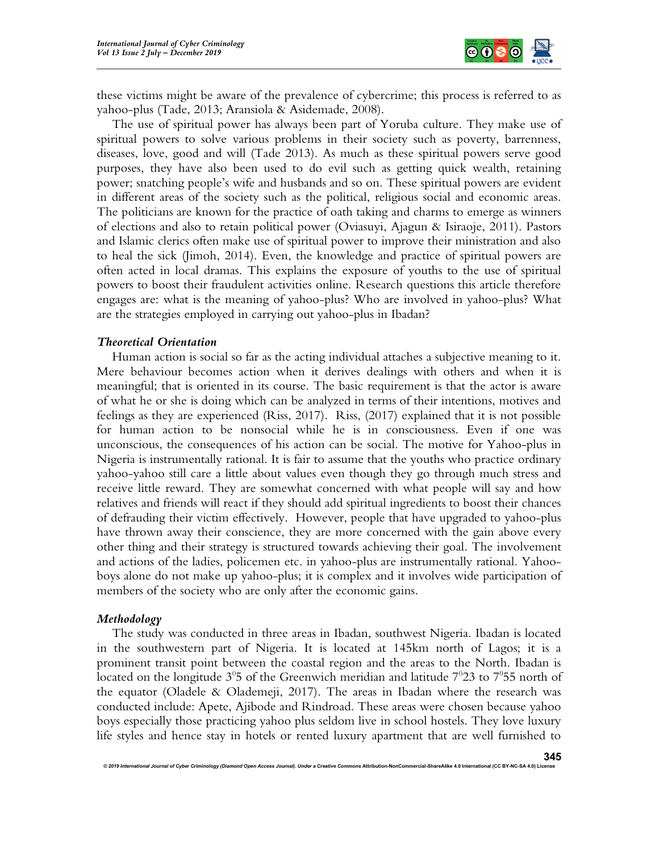

these victims might be aware of the prevalence of cybercrime; this process is referred to as yahoo-plus (Tade, 2013; Aransiola & Asidemade, 2008).

The use of spiritual power has always been part of Yoruba culture. They make use of spiritual powers to solve various problems in their society such as poverty, barrenness, diseases, love, good and will (Tade 2013). As much as these spiritual powers serve good purposes, they have also been used to do evil such as getting quick wealth, retaining power; snatching people's wife and husbands and so on. These spiritual powers are evident in different areas of the society such as the political, religious social and economic areas. The politicians are known for the practice of oath taking and charms to emerge as winners of elections and also to retain political power (Oviasuyi, Ajagun & Isiraoje, 2011). Pastors and Islamic clerics often make use of spiritual power to improve their ministration and also to heal the sick (Jimoh, 2014). Even, the knowledge and practice of spiritual powers are often acted in local dramas. This explains the exposure of youths to the use of spiritual powers to boost their fraudulent activities online. Research questions this article therefore engages are: what is the meaning of yahoo-plus? Who are involved in yahoo-plus? What are the strategies employed in carrying out yahoo-plus in Ibadan?

#### Theoretical Orientation

Human action is social so far as the acting individual attaches a subjective meaning to it. Mere behaviour becomes action when it derives dealings with others and when it is meaningful; that is oriented in its course. The basic requirement is that the actor is aware of what he or she is doing which can be analyzed in terms of their intentions, motives and feelings as they are experienced (Riss, 2017). Riss, (2017) explained that it is not possible for human action to be nonsocial while he is in consciousness. Even if one was unconscious, the consequences of his action can be social. The motive for Yahoo-plus in Nigeria is instrumentally rational. It is fair to assume that the youths who practice ordinary yahoo-yahoo still care a little about values even though they go through much stress and receive little reward. They are somewhat concerned with what people will say and how relatives and friends will react if they should add spiritual ingredients to boost their chances of defrauding their victim effectively. However, people that have upgraded to yahoo-plus have thrown away their conscience, they are more concerned with the gain above every other thing and their strategy is structured towards achieving their goal. The involvement and actions of the ladies, policemen etc. in yahoo-plus are instrumentally rational. Yahooboys alone do not make up yahoo-plus; it is complex and it involves wide participation of members of the society who are only after the economic gains.

### Methodology

The study was conducted in three areas in Ibadan, southwest Nigeria. Ibadan is located in the southwestern part of Nigeria. It is located at 145km north of Lagos; it is a prominent transit point between the coastal region and the areas to the North. Ibadan is located on the longitude  $3^0$ 5 of the Greenwich meridian and latitude  $7^0$ 23 to  $7^0$ 55 north of the equator (Oladele & Olademeji, 2017). The areas in Ibadan where the research was conducted include: Apete, Ajibode and Rindroad. These areas were chosen because yahoo boys especially those practicing yahoo plus seldom live in school hostels. They love luxury life styles and hence stay in hotels or rented luxury apartment that are well furnished to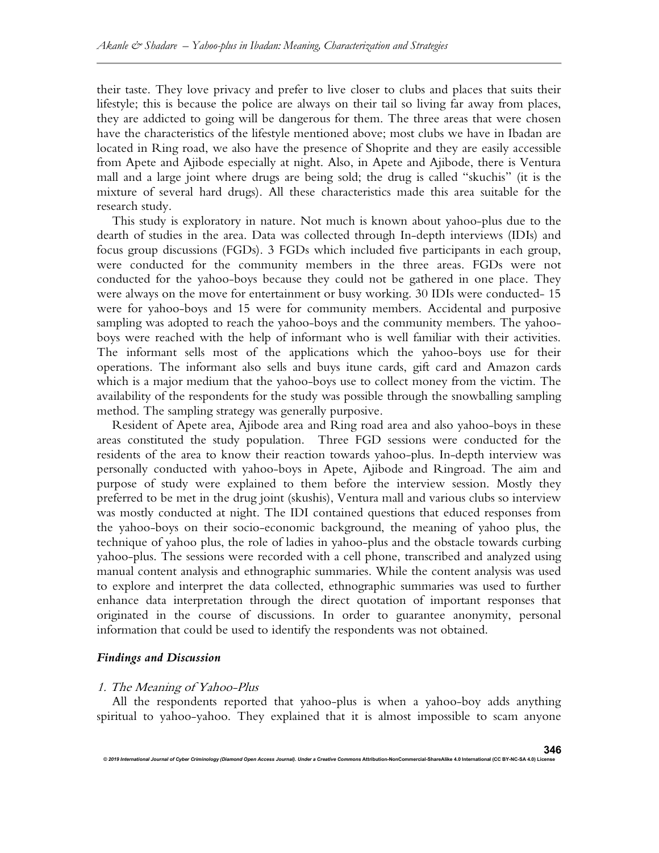their taste. They love privacy and prefer to live closer to clubs and places that suits their lifestyle; this is because the police are always on their tail so living far away from places, they are addicted to going will be dangerous for them. The three areas that were chosen have the characteristics of the lifestyle mentioned above; most clubs we have in Ibadan are located in Ring road, we also have the presence of Shoprite and they are easily accessible from Apete and Ajibode especially at night. Also, in Apete and Ajibode, there is Ventura mall and a large joint where drugs are being sold; the drug is called "skuchis" (it is the mixture of several hard drugs). All these characteristics made this area suitable for the research study.

This study is exploratory in nature. Not much is known about yahoo-plus due to the dearth of studies in the area. Data was collected through In-depth interviews (IDIs) and focus group discussions (FGDs). 3 FGDs which included five participants in each group, were conducted for the community members in the three areas. FGDs were not conducted for the yahoo-boys because they could not be gathered in one place. They were always on the move for entertainment or busy working. 30 IDIs were conducted- 15 were for yahoo-boys and 15 were for community members. Accidental and purposive sampling was adopted to reach the yahoo-boys and the community members. The yahooboys were reached with the help of informant who is well familiar with their activities. The informant sells most of the applications which the yahoo-boys use for their operations. The informant also sells and buys itune cards, gift card and Amazon cards which is a major medium that the yahoo-boys use to collect money from the victim. The availability of the respondents for the study was possible through the snowballing sampling method. The sampling strategy was generally purposive.

Resident of Apete area, Ajibode area and Ring road area and also yahoo-boys in these areas constituted the study population. Three FGD sessions were conducted for the residents of the area to know their reaction towards yahoo-plus. In-depth interview was personally conducted with yahoo-boys in Apete, Ajibode and Ringroad. The aim and purpose of study were explained to them before the interview session. Mostly they preferred to be met in the drug joint (skushis), Ventura mall and various clubs so interview was mostly conducted at night. The IDI contained questions that educed responses from the yahoo-boys on their socio-economic background, the meaning of yahoo plus, the technique of yahoo plus, the role of ladies in yahoo-plus and the obstacle towards curbing yahoo-plus. The sessions were recorded with a cell phone, transcribed and analyzed using manual content analysis and ethnographic summaries. While the content analysis was used to explore and interpret the data collected, ethnographic summaries was used to further enhance data interpretation through the direct quotation of important responses that originated in the course of discussions. In order to guarantee anonymity, personal information that could be used to identify the respondents was not obtained.

## Findings and Discussion

#### 1. The Meaning of Yahoo-Plus

© 2019 International Journal of Cyber Criminology (Diamond Open Access Journal). Under a Creative Co

All the respondents reported that yahoo-plus is when a yahoo-boy adds anything spiritual to yahoo-yahoo. They explained that it is almost impossible to scam anyone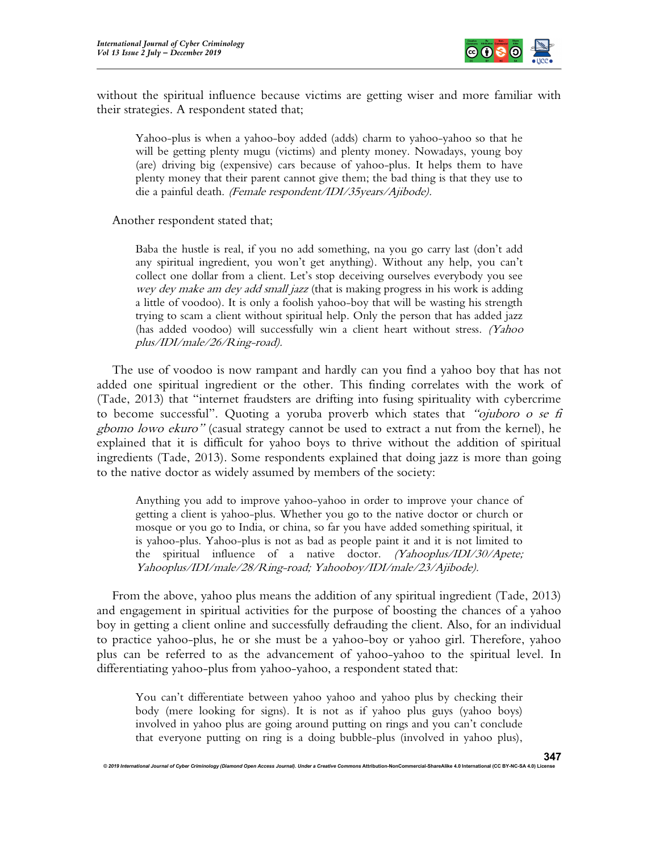

without the spiritual influence because victims are getting wiser and more familiar with their strategies. A respondent stated that;

Yahoo-plus is when a yahoo-boy added (adds) charm to yahoo-yahoo so that he will be getting plenty mugu (victims) and plenty money. Nowadays, young boy (are) driving big (expensive) cars because of yahoo-plus. It helps them to have plenty money that their parent cannot give them; the bad thing is that they use to die a painful death. (Female respondent/IDI/35years/Ajibode).

Another respondent stated that;

Baba the hustle is real, if you no add something, na you go carry last (don't add any spiritual ingredient, you won't get anything). Without any help, you can't collect one dollar from a client. Let's stop deceiving ourselves everybody you see wey dey make am dey add small jazz (that is making progress in his work is adding a little of voodoo). It is only a foolish yahoo-boy that will be wasting his strength trying to scam a client without spiritual help. Only the person that has added jazz (has added voodoo) will successfully win a client heart without stress. (Yahoo plus/IDI/male/26/Ring-road).

The use of voodoo is now rampant and hardly can you find a yahoo boy that has not added one spiritual ingredient or the other. This finding correlates with the work of (Tade, 2013) that "internet fraudsters are drifting into fusing spirituality with cybercrime to become successful". Quoting a yoruba proverb which states that "*ojuboro o se fi* gbomo lowo ekuro" (casual strategy cannot be used to extract a nut from the kernel), he explained that it is difficult for yahoo boys to thrive without the addition of spiritual ingredients (Tade, 2013). Some respondents explained that doing jazz is more than going to the native doctor as widely assumed by members of the society:

Anything you add to improve yahoo-yahoo in order to improve your chance of getting a client is yahoo-plus. Whether you go to the native doctor or church or mosque or you go to India, or china, so far you have added something spiritual, it is yahoo-plus. Yahoo-plus is not as bad as people paint it and it is not limited to the spiritual influence of a native doctor. (Yahooplus/IDI/30/Apete; Yahooplus/IDI/male/28/Ring-road; Yahooboy/IDI/male/23/Ajibode).

From the above, yahoo plus means the addition of any spiritual ingredient (Tade, 2013) and engagement in spiritual activities for the purpose of boosting the chances of a yahoo boy in getting a client online and successfully defrauding the client. Also, for an individual to practice yahoo-plus, he or she must be a yahoo-boy or yahoo girl. Therefore, yahoo plus can be referred to as the advancement of yahoo-yahoo to the spiritual level. In differentiating yahoo-plus from yahoo-yahoo, a respondent stated that:

You can't differentiate between yahoo yahoo and yahoo plus by checking their body (mere looking for signs). It is not as if yahoo plus guys (yahoo boys) involved in yahoo plus are going around putting on rings and you can't conclude that everyone putting on ring is a doing bubble-plus (involved in yahoo plus),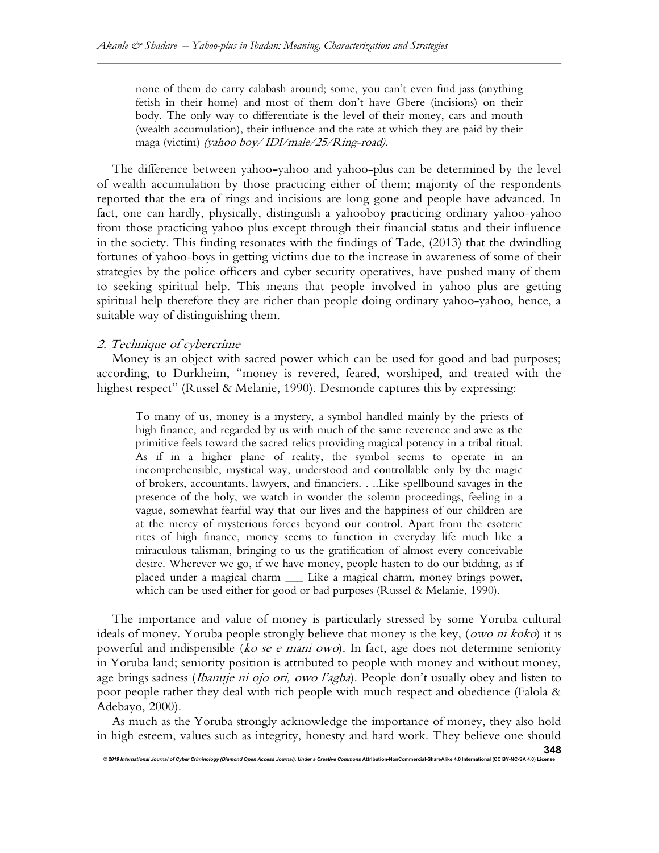none of them do carry calabash around; some, you can't even find jass (anything fetish in their home) and most of them don't have Gbere (incisions) on their body. The only way to differentiate is the level of their money, cars and mouth (wealth accumulation), their influence and the rate at which they are paid by their maga (victim) (yahoo boy/ IDI/male/25/Ring-road).

The difference between yahoo-yahoo and yahoo-plus can be determined by the level of wealth accumulation by those practicing either of them; majority of the respondents reported that the era of rings and incisions are long gone and people have advanced. In fact, one can hardly, physically, distinguish a yahooboy practicing ordinary yahoo-yahoo from those practicing yahoo plus except through their financial status and their influence in the society. This finding resonates with the findings of Tade, (2013) that the dwindling fortunes of yahoo-boys in getting victims due to the increase in awareness of some of their strategies by the police officers and cyber security operatives, have pushed many of them to seeking spiritual help. This means that people involved in yahoo plus are getting spiritual help therefore they are richer than people doing ordinary yahoo-yahoo, hence, a suitable way of distinguishing them.

## 2. Technique of cybercrime

Money is an object with sacred power which can be used for good and bad purposes; according, to Durkheim, "money is revered, feared, worshiped, and treated with the highest respect" (Russel & Melanie, 1990). Desmonde captures this by expressing:

To many of us, money is a mystery, a symbol handled mainly by the priests of high finance, and regarded by us with much of the same reverence and awe as the primitive feels toward the sacred relics providing magical potency in a tribal ritual. As if in a higher plane of reality, the symbol seems to operate in an incomprehensible, mystical way, understood and controllable only by the magic of brokers, accountants, lawyers, and financiers. . ..Like spellbound savages in the presence of the holy, we watch in wonder the solemn proceedings, feeling in a vague, somewhat fearful way that our lives and the happiness of our children are at the mercy of mysterious forces beyond our control. Apart from the esoteric rites of high finance, money seems to function in everyday life much like a miraculous talisman, bringing to us the gratification of almost every conceivable desire. Wherever we go, if we have money, people hasten to do our bidding, as if placed under a magical charm \_\_\_ Like a magical charm, money brings power, which can be used either for good or bad purposes (Russel & Melanie, 1990).

The importance and value of money is particularly stressed by some Yoruba cultural ideals of money. Yoruba people strongly believe that money is the key, (owo ni koko) it is powerful and indispensible (ko se e mani owo). In fact, age does not determine seniority in Yoruba land; seniority position is attributed to people with money and without money, age brings sadness (*Ibanuje ni ojo ori, owo l'agba*). People don't usually obey and listen to poor people rather they deal with rich people with much respect and obedience (Falola & Adebayo, 2000).

As much as the Yoruba strongly acknowledge the importance of money, they also hold in high esteem, values such as integrity, honesty and hard work. They believe one should

© 2019 International Journal of Cyber Criminology (Diamond Open Access Journal). Under a Creative Commons Attribution-NonCommercial-ShareAlike 4.0 International (CC BY-NC-SA 4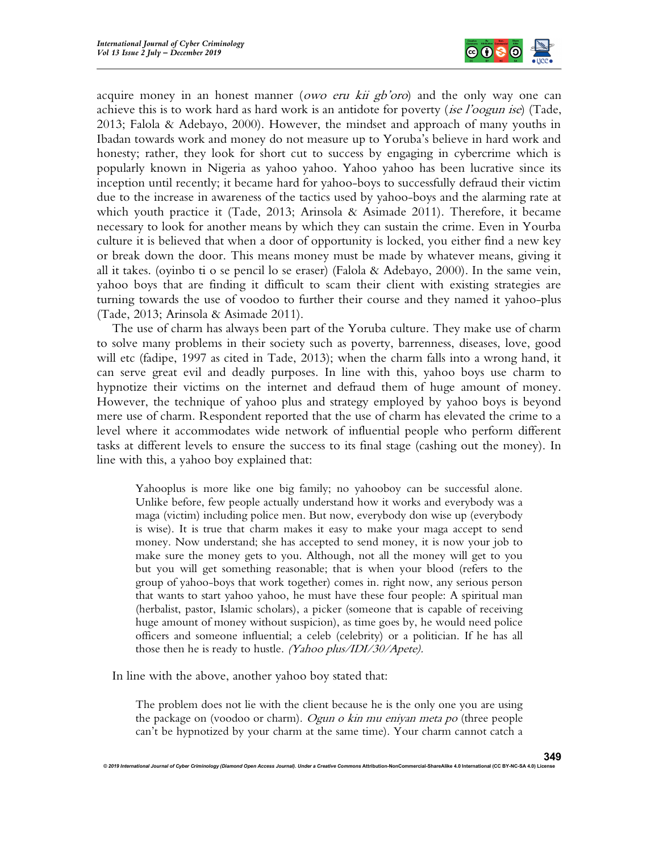

acquire money in an honest manner (*owo eru kii gb'oro*) and the only way one can achieve this is to work hard as hard work is an antidote for poverty *(ise l'oogun ise)* (Tade, 2013; Falola & Adebayo, 2000). However, the mindset and approach of many youths in Ibadan towards work and money do not measure up to Yoruba's believe in hard work and honesty; rather, they look for short cut to success by engaging in cybercrime which is popularly known in Nigeria as yahoo yahoo. Yahoo yahoo has been lucrative since its inception until recently; it became hard for yahoo-boys to successfully defraud their victim due to the increase in awareness of the tactics used by yahoo-boys and the alarming rate at which youth practice it (Tade, 2013; Arinsola & Asimade 2011). Therefore, it became necessary to look for another means by which they can sustain the crime. Even in Yourba culture it is believed that when a door of opportunity is locked, you either find a new key or break down the door. This means money must be made by whatever means, giving it all it takes. (oyinbo ti o se pencil lo se eraser) (Falola & Adebayo, 2000). In the same vein, yahoo boys that are finding it difficult to scam their client with existing strategies are turning towards the use of voodoo to further their course and they named it yahoo-plus (Tade, 2013; Arinsola & Asimade 2011).

The use of charm has always been part of the Yoruba culture. They make use of charm to solve many problems in their society such as poverty, barrenness, diseases, love, good will etc (fadipe, 1997 as cited in Tade, 2013); when the charm falls into a wrong hand, it can serve great evil and deadly purposes. In line with this, yahoo boys use charm to hypnotize their victims on the internet and defraud them of huge amount of money. However, the technique of yahoo plus and strategy employed by yahoo boys is beyond mere use of charm. Respondent reported that the use of charm has elevated the crime to a level where it accommodates wide network of influential people who perform different tasks at different levels to ensure the success to its final stage (cashing out the money). In line with this, a yahoo boy explained that:

Yahooplus is more like one big family; no yahooboy can be successful alone. Unlike before, few people actually understand how it works and everybody was a maga (victim) including police men. But now, everybody don wise up (everybody is wise). It is true that charm makes it easy to make your maga accept to send money. Now understand; she has accepted to send money, it is now your job to make sure the money gets to you. Although, not all the money will get to you but you will get something reasonable; that is when your blood (refers to the group of yahoo-boys that work together) comes in. right now, any serious person that wants to start yahoo yahoo, he must have these four people: A spiritual man (herbalist, pastor, Islamic scholars), a picker (someone that is capable of receiving huge amount of money without suspicion), as time goes by, he would need police officers and someone influential; a celeb (celebrity) or a politician. If he has all those then he is ready to hustle. (Yahoo plus/IDI/30/Apete).

In line with the above, another yahoo boy stated that:

The problem does not lie with the client because he is the only one you are using the package on (voodoo or charm). Ogun o kin mu eniyan meta po (three people can't be hypnotized by your charm at the same time). Your charm cannot catch a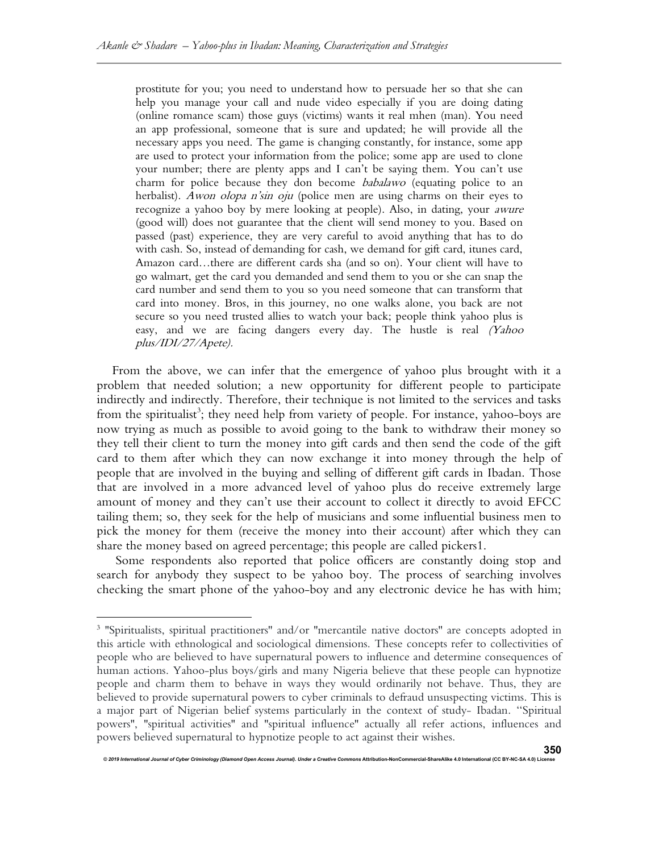prostitute for you; you need to understand how to persuade her so that she can help you manage your call and nude video especially if you are doing dating (online romance scam) those guys (victims) wants it real mhen (man). You need an app professional, someone that is sure and updated; he will provide all the necessary apps you need. The game is changing constantly, for instance, some app are used to protect your information from the police; some app are used to clone your number; there are plenty apps and I can't be saying them. You can't use charm for police because they don become babalawo (equating police to an herbalist). Awon olopa n'sin oju (police men are using charms on their eyes to recognize a yahoo boy by mere looking at people). Also, in dating, your awure (good will) does not guarantee that the client will send money to you. Based on passed (past) experience, they are very careful to avoid anything that has to do with cash. So, instead of demanding for cash, we demand for gift card, itunes card, Amazon card…there are different cards sha (and so on). Your client will have to go walmart, get the card you demanded and send them to you or she can snap the card number and send them to you so you need someone that can transform that card into money. Bros, in this journey, no one walks alone, you back are not secure so you need trusted allies to watch your back; people think yahoo plus is easy, and we are facing dangers every day. The hustle is real (Yahoo plus/IDI/27/Apete).

From the above, we can infer that the emergence of yahoo plus brought with it a problem that needed solution; a new opportunity for different people to participate indirectly and indirectly. Therefore, their technique is not limited to the services and tasks from the spiritualist<sup>3</sup>; they need help from variety of people. For instance, yahoo-boys are now trying as much as possible to avoid going to the bank to withdraw their money so they tell their client to turn the money into gift cards and then send the code of the gift card to them after which they can now exchange it into money through the help of people that are involved in the buying and selling of different gift cards in Ibadan. Those that are involved in a more advanced level of yahoo plus do receive extremely large amount of money and they can't use their account to collect it directly to avoid EFCC tailing them; so, they seek for the help of musicians and some influential business men to pick the money for them (receive the money into their account) after which they can share the money based on agreed percentage; this people are called pickers1.

 Some respondents also reported that police officers are constantly doing stop and search for anybody they suspect to be yahoo boy. The process of searching involves checking the smart phone of the yahoo-boy and any electronic device he has with him;

<sup>&</sup>lt;sup>3</sup> "Spiritualists, spiritual practitioners" and/or "mercantile native doctors" are concepts adopted in this article with ethnological and sociological dimensions. These concepts refer to collectivities of people who are believed to have supernatural powers to influence and determine consequences of human actions. Yahoo-plus boys/girls and many Nigeria believe that these people can hypnotize people and charm them to behave in ways they would ordinarily not behave. Thus, they are believed to provide supernatural powers to cyber criminals to defraud unsuspecting victims. This is a major part of Nigerian belief systems particularly in the context of study- Ibadan. ''Spiritual powers'', ''spiritual activities'' and ''spiritual influence'' actually all refer actions, influences and powers believed supernatural to hypnotize people to act against their wishes.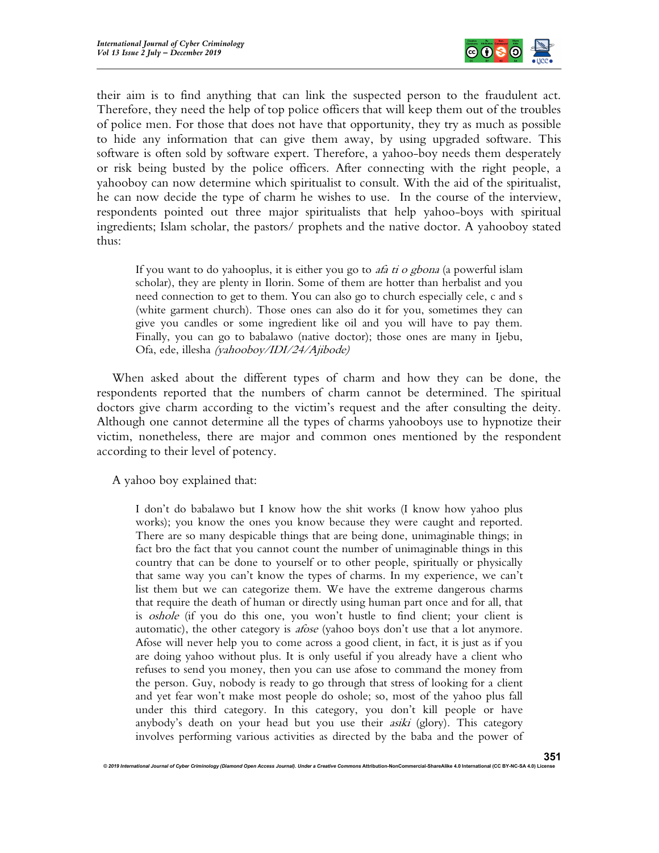

their aim is to find anything that can link the suspected person to the fraudulent act. Therefore, they need the help of top police officers that will keep them out of the troubles of police men. For those that does not have that opportunity, they try as much as possible to hide any information that can give them away, by using upgraded software. This software is often sold by software expert. Therefore, a yahoo-boy needs them desperately or risk being busted by the police officers. After connecting with the right people, a yahooboy can now determine which spiritualist to consult. With the aid of the spiritualist, he can now decide the type of charm he wishes to use. In the course of the interview, respondents pointed out three major spiritualists that help yahoo-boys with spiritual ingredients; Islam scholar, the pastors/ prophets and the native doctor. A yahooboy stated thus:

If you want to do yahooplus, it is either you go to *afa ti o gbona* (a powerful islam scholar), they are plenty in Ilorin. Some of them are hotter than herbalist and you need connection to get to them. You can also go to church especially cele, c and s (white garment church). Those ones can also do it for you, sometimes they can give you candles or some ingredient like oil and you will have to pay them. Finally, you can go to babalawo (native doctor); those ones are many in Ijebu, Ofa, ede, illesha (yahooboy/IDI/24/Ajibode)

When asked about the different types of charm and how they can be done, the respondents reported that the numbers of charm cannot be determined. The spiritual doctors give charm according to the victim's request and the after consulting the deity. Although one cannot determine all the types of charms yahooboys use to hypnotize their victim, nonetheless, there are major and common ones mentioned by the respondent according to their level of potency.

A yahoo boy explained that:

I don't do babalawo but I know how the shit works (I know how yahoo plus works); you know the ones you know because they were caught and reported. There are so many despicable things that are being done, unimaginable things; in fact bro the fact that you cannot count the number of unimaginable things in this country that can be done to yourself or to other people, spiritually or physically that same way you can't know the types of charms. In my experience, we can't list them but we can categorize them. We have the extreme dangerous charms that require the death of human or directly using human part once and for all, that is *oshole* (if you do this one, you won't hustle to find client; your client is automatic), the other category is *afose* (yahoo boys don't use that a lot anymore. Afose will never help you to come across a good client, in fact, it is just as if you are doing yahoo without plus. It is only useful if you already have a client who refuses to send you money, then you can use afose to command the money from the person. Guy, nobody is ready to go through that stress of looking for a client and yet fear won't make most people do oshole; so, most of the yahoo plus fall under this third category. In this category, you don't kill people or have anybody's death on your head but you use their *asiki* (glory). This category involves performing various activities as directed by the baba and the power of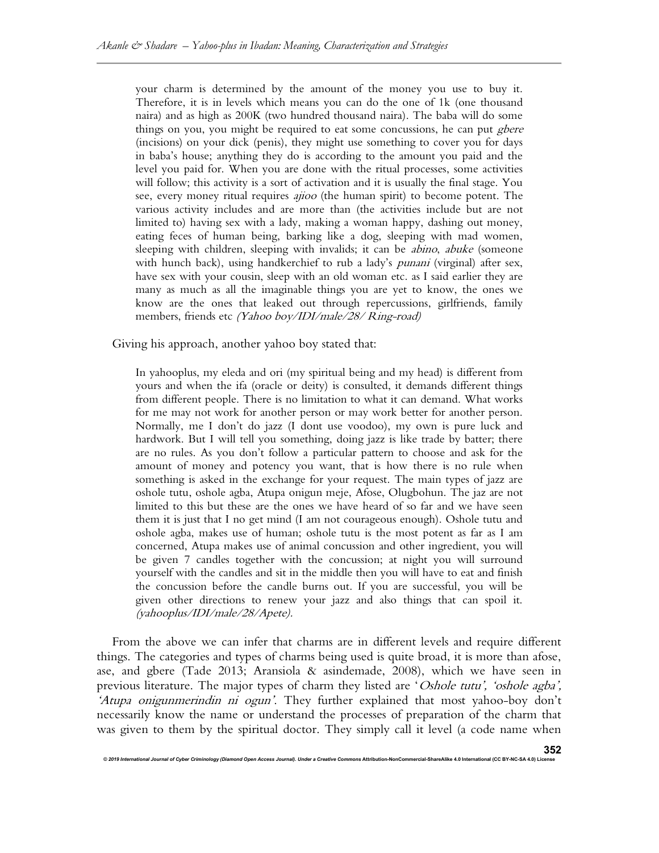your charm is determined by the amount of the money you use to buy it. Therefore, it is in levels which means you can do the one of 1k (one thousand naira) and as high as 200K (two hundred thousand naira). The baba will do some things on you, you might be required to eat some concussions, he can put *gbere* (incisions) on your dick (penis), they might use something to cover you for days in baba's house; anything they do is according to the amount you paid and the level you paid for. When you are done with the ritual processes, some activities will follow; this activity is a sort of activation and it is usually the final stage. You see, every money ritual requires *ajioo* (the human spirit) to become potent. The various activity includes and are more than (the activities include but are not limited to) having sex with a lady, making a woman happy, dashing out money, eating feces of human being, barking like a dog, sleeping with mad women, sleeping with children, sleeping with invalids; it can be *abino*, *abuke* (someone with hunch back), using handkerchief to rub a lady's *punani* (virginal) after sex, have sex with your cousin, sleep with an old woman etc. as I said earlier they are many as much as all the imaginable things you are yet to know, the ones we know are the ones that leaked out through repercussions, girlfriends, family members, friends etc (Yahoo boy/IDI/male/28/ Ring-road)

Giving his approach, another yahoo boy stated that:

In yahooplus, my eleda and ori (my spiritual being and my head) is different from yours and when the ifa (oracle or deity) is consulted, it demands different things from different people. There is no limitation to what it can demand. What works for me may not work for another person or may work better for another person. Normally, me I don't do jazz (I dont use voodoo), my own is pure luck and hardwork. But I will tell you something, doing jazz is like trade by batter; there are no rules. As you don't follow a particular pattern to choose and ask for the amount of money and potency you want, that is how there is no rule when something is asked in the exchange for your request. The main types of jazz are oshole tutu, oshole agba, Atupa onigun meje, Afose, Olugbohun. The jaz are not limited to this but these are the ones we have heard of so far and we have seen them it is just that I no get mind (I am not courageous enough). Oshole tutu and oshole agba, makes use of human; oshole tutu is the most potent as far as I am concerned, Atupa makes use of animal concussion and other ingredient, you will be given 7 candles together with the concussion; at night you will surround yourself with the candles and sit in the middle then you will have to eat and finish the concussion before the candle burns out. If you are successful, you will be given other directions to renew your jazz and also things that can spoil it. (yahooplus/IDI/male/28/Apete).

From the above we can infer that charms are in different levels and require different things. The categories and types of charms being used is quite broad, it is more than afose, ase, and gbere (Tade 2013; Aransiola & asindemade, 2008), which we have seen in previous literature. The major types of charm they listed are 'Oshole tutu', 'oshole agba', 'Atupa onigunmerindin ni ogun'. They further explained that most yahoo-boy don't necessarily know the name or understand the processes of preparation of the charm that was given to them by the spiritual doctor. They simply call it level (a code name when

© 2019 International Journal of Cyber Criminology (Diamond Open Access Journal). Under a Creative Commons Attribution-NonCommercial-ShareAlike 4.0 Interna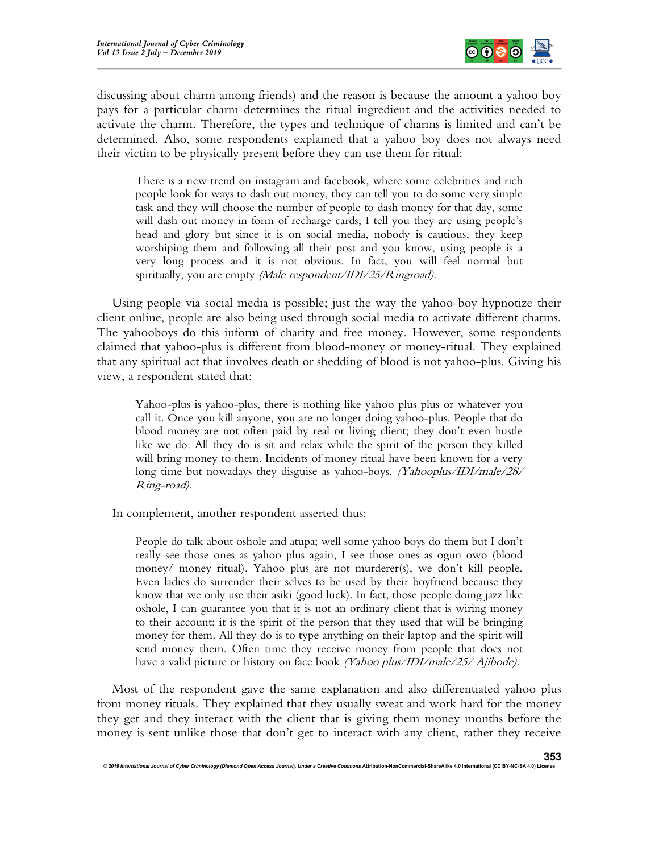

discussing about charm among friends) and the reason is because the amount a yahoo boy pays for a particular charm determines the ritual ingredient and the activities needed to activate the charm. Therefore, the types and technique of charms is limited and can't be determined. Also, some respondents explained that a yahoo boy does not always need their victim to be physically present before they can use them for ritual:

There is a new trend on instagram and facebook, where some celebrities and rich people look for ways to dash out money, they can tell you to do some very simple task and they will choose the number of people to dash money for that day, some will dash out money in form of recharge cards; I tell you they are using people's head and glory but since it is on social media, nobody is cautious, they keep worshiping them and following all their post and you know, using people is a very long process and it is not obvious. In fact, you will feel normal but spiritually, you are empty *(Male respondent/IDI/25/Ringroad)*.

Using people via social media is possible; just the way the yahoo-boy hypnotize their client online, people are also being used through social media to activate different charms. The yahooboys do this inform of charity and free money. However, some respondents claimed that yahoo-plus is different from blood-money or money-ritual. They explained that any spiritual act that involves death or shedding of blood is not yahoo-plus. Giving his view, a respondent stated that:

Yahoo-plus is yahoo-plus, there is nothing like yahoo plus plus or whatever you call it. Once you kill anyone, you are no longer doing yahoo-plus. People that do blood money are not often paid by real or living client; they don't even hustle like we do. All they do is sit and relax while the spirit of the person they killed will bring money to them. Incidents of money ritual have been known for a very long time but nowadays they disguise as yahoo-boys. (Yahooplus/IDI/male/28/ Ring-road).

In complement, another respondent asserted thus:

People do talk about oshole and atupa; well some yahoo boys do them but I don't really see those ones as yahoo plus again, I see those ones as ogun owo (blood money/ money ritual). Yahoo plus are not murderer(s), we don't kill people. Even ladies do surrender their selves to be used by their boyfriend because they know that we only use their asiki (good luck). In fact, those people doing jazz like oshole, I can guarantee you that it is not an ordinary client that is wiring money to their account; it is the spirit of the person that they used that will be bringing money for them. All they do is to type anything on their laptop and the spirit will send money them. Often time they receive money from people that does not have a valid picture or history on face book *(Yahoo plus/IDI/male/25/ Ajibode)*.

Most of the respondent gave the same explanation and also differentiated yahoo plus from money rituals. They explained that they usually sweat and work hard for the money they get and they interact with the client that is giving them money months before the money is sent unlike those that don't get to interact with any client, rather they receive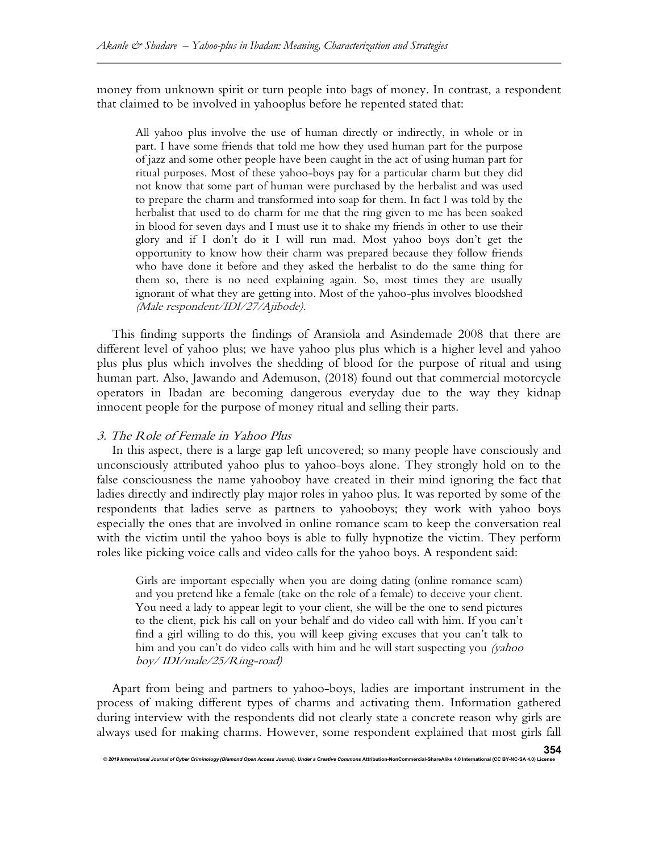money from unknown spirit or turn people into bags of money. In contrast, a respondent that claimed to be involved in yahooplus before he repented stated that:

All yahoo plus involve the use of human directly or indirectly, in whole or in part. I have some friends that told me how they used human part for the purpose of jazz and some other people have been caught in the act of using human part for ritual purposes. Most of these yahoo-boys pay for a particular charm but they did not know that some part of human were purchased by the herbalist and was used to prepare the charm and transformed into soap for them. In fact I was told by the herbalist that used to do charm for me that the ring given to me has been soaked in blood for seven days and I must use it to shake my friends in other to use their glory and if I don't do it I will run mad. Most yahoo boys don't get the opportunity to know how their charm was prepared because they follow friends who have done it before and they asked the herbalist to do the same thing for them so, there is no need explaining again. So, most times they are usually ignorant of what they are getting into. Most of the yahoo-plus involves bloodshed (Male respondent/IDI/27/Ajibode).

This finding supports the findings of Aransiola and Asindemade 2008 that there are different level of yahoo plus; we have yahoo plus plus which is a higher level and yahoo plus plus plus which involves the shedding of blood for the purpose of ritual and using human part. Also, Jawando and Ademuson, (2018) found out that commercial motorcycle operators in Ibadan are becoming dangerous everyday due to the way they kidnap innocent people for the purpose of money ritual and selling their parts.

## 3. The Role of Female in Yahoo Plus

In this aspect, there is a large gap left uncovered; so many people have consciously and unconsciously attributed yahoo plus to yahoo-boys alone. They strongly hold on to the false consciousness the name yahooboy have created in their mind ignoring the fact that ladies directly and indirectly play major roles in yahoo plus. It was reported by some of the respondents that ladies serve as partners to yahooboys; they work with yahoo boys especially the ones that are involved in online romance scam to keep the conversation real with the victim until the yahoo boys is able to fully hypnotize the victim. They perform roles like picking voice calls and video calls for the yahoo boys. A respondent said:

Girls are important especially when you are doing dating (online romance scam) and you pretend like a female (take on the role of a female) to deceive your client. You need a lady to appear legit to your client, she will be the one to send pictures to the client, pick his call on your behalf and do video call with him. If you can't find a girl willing to do this, you will keep giving excuses that you can't talk to him and you can't do video calls with him and he will start suspecting you (yahoo boy/ IDI/male/25/Ring-road)

Apart from being and partners to yahoo-boys, ladies are important instrument in the process of making different types of charms and activating them. Information gathered during interview with the respondents did not clearly state a concrete reason why girls are always used for making charms. However, some respondent explained that most girls fall

© 2019 International Journal of Cyber Criminology (Diamond Open Access Journal). Under a Creative Commons Attribution-NonCommercial-ShareAlike 4.0 International (CC BY-NC-SA 4.0) L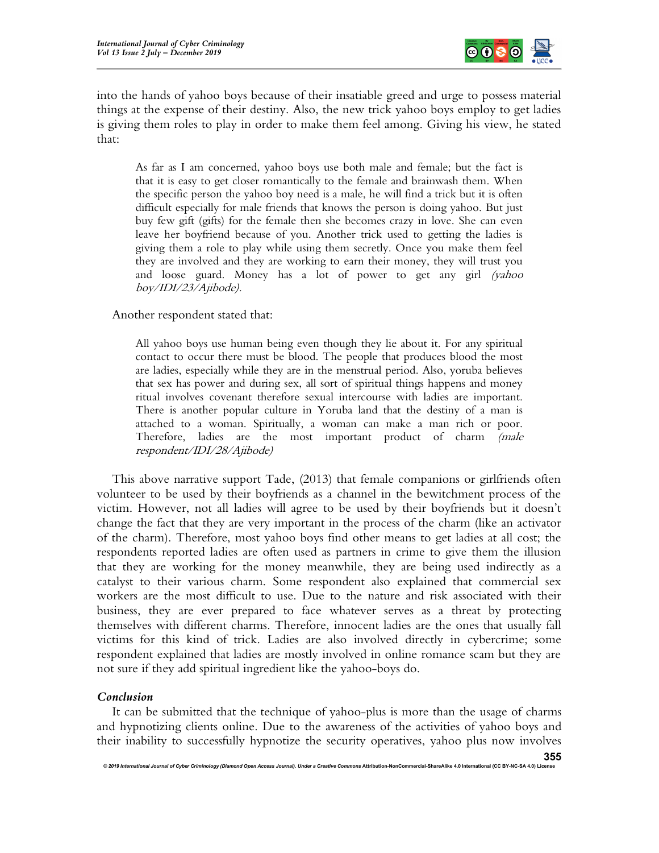

into the hands of yahoo boys because of their insatiable greed and urge to possess material things at the expense of their destiny. Also, the new trick yahoo boys employ to get ladies is giving them roles to play in order to make them feel among. Giving his view, he stated that:

As far as I am concerned, yahoo boys use both male and female; but the fact is that it is easy to get closer romantically to the female and brainwash them. When the specific person the yahoo boy need is a male, he will find a trick but it is often difficult especially for male friends that knows the person is doing yahoo. But just buy few gift (gifts) for the female then she becomes crazy in love. She can even leave her boyfriend because of you. Another trick used to getting the ladies is giving them a role to play while using them secretly. Once you make them feel they are involved and they are working to earn their money, they will trust you and loose guard. Money has a lot of power to get any girl (yahoo boy/IDI/23/Ajibode).

Another respondent stated that:

All yahoo boys use human being even though they lie about it. For any spiritual contact to occur there must be blood. The people that produces blood the most are ladies, especially while they are in the menstrual period. Also, yoruba believes that sex has power and during sex, all sort of spiritual things happens and money ritual involves covenant therefore sexual intercourse with ladies are important. There is another popular culture in Yoruba land that the destiny of a man is attached to a woman. Spiritually, a woman can make a man rich or poor. Therefore, ladies are the most important product of charm (male respondent/IDI/28/Ajibode)

This above narrative support Tade, (2013) that female companions or girlfriends often volunteer to be used by their boyfriends as a channel in the bewitchment process of the victim. However, not all ladies will agree to be used by their boyfriends but it doesn't change the fact that they are very important in the process of the charm (like an activator of the charm). Therefore, most yahoo boys find other means to get ladies at all cost; the respondents reported ladies are often used as partners in crime to give them the illusion that they are working for the money meanwhile, they are being used indirectly as a catalyst to their various charm. Some respondent also explained that commercial sex workers are the most difficult to use. Due to the nature and risk associated with their business, they are ever prepared to face whatever serves as a threat by protecting themselves with different charms. Therefore, innocent ladies are the ones that usually fall victims for this kind of trick. Ladies are also involved directly in cybercrime; some respondent explained that ladies are mostly involved in online romance scam but they are not sure if they add spiritual ingredient like the yahoo-boys do.

## Conclusion

It can be submitted that the technique of yahoo-plus is more than the usage of charms and hypnotizing clients online. Due to the awareness of the activities of yahoo boys and their inability to successfully hypnotize the security operatives, yahoo plus now involves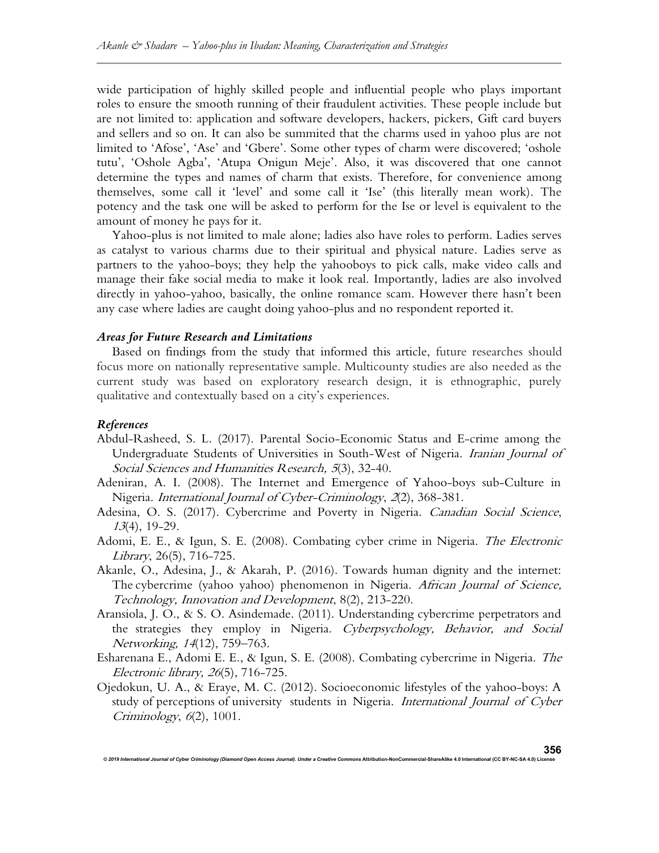wide participation of highly skilled people and influential people who plays important roles to ensure the smooth running of their fraudulent activities. These people include but are not limited to: application and software developers, hackers, pickers, Gift card buyers and sellers and so on. It can also be summited that the charms used in yahoo plus are not limited to 'Afose', 'Ase' and 'Gbere'. Some other types of charm were discovered; 'oshole tutu', 'Oshole Agba', 'Atupa Onigun Meje'. Also, it was discovered that one cannot determine the types and names of charm that exists. Therefore, for convenience among themselves, some call it 'level' and some call it 'Ise' (this literally mean work). The potency and the task one will be asked to perform for the Ise or level is equivalent to the amount of money he pays for it.

Yahoo-plus is not limited to male alone; ladies also have roles to perform. Ladies serves as catalyst to various charms due to their spiritual and physical nature. Ladies serve as partners to the yahoo-boys; they help the yahooboys to pick calls, make video calls and manage their fake social media to make it look real. Importantly, ladies are also involved directly in yahoo-yahoo, basically, the online romance scam. However there hasn't been any case where ladies are caught doing yahoo-plus and no respondent reported it.

## Areas for Future Research and Limitations

© 2019 International Journal of Cyber Criminology (Diamond Open Access Journal). Under a Creative Comr

Based on findings from the study that informed this article, future researches should focus more on nationally representative sample. Multicounty studies are also needed as the current study was based on exploratory research design, it is ethnographic, purely qualitative and contextually based on a city's experiences.

## References

Abdul-Rasheed, S. L. (2017). Parental Socio-Economic Status and E-crime among the Undergraduate Students of Universities in South-West of Nigeria. Iranian Journal of Social Sciences and Humanities Research, <sup>5</sup>(3), 32-40.

Adeniran, A. I. (2008). The Internet and Emergence of Yahoo-boys sub-Culture in Nigeria. International Journal of Cyber-Criminology, 2(2), 368-381.

- Adesina, O. S. (2017). Cybercrime and Poverty in Nigeria. Canadian Social Science, <sup>13</sup>(4), 19-29.
- Adomi, E. E., & Igun, S. E. (2008). Combating cyber crime in Nigeria. The Electronic Library, 26(5), 716-725.
- Akanle, O., Adesina, J., & Akarah, P. (2016). Towards human dignity and the internet: The cybercrime (yahoo yahoo) phenomenon in Nigeria. African Journal of Science, Technology, Innovation and Development, 8(2), 213-220.
- Aransiola, J. O., & S. O. Asindemade. (2011). Understanding cybercrime perpetrators and the strategies they employ in Nigeria. Cyberpsychology, Behavior, and Social Networking, <sup>14</sup>(12), 759–763.
- Esharenana E., Adomi E. E., & Igun, S. E. (2008). Combating cybercrime in Nigeria. The Electronic library, 26(5), 716-725.
- Ojedokun, U. A., & Eraye, M. C. (2012). Socioeconomic lifestyles of the yahoo-boys: A study of perceptions of university students in Nigeria. International Journal of Cyber Criminology, 6(2), 1001.